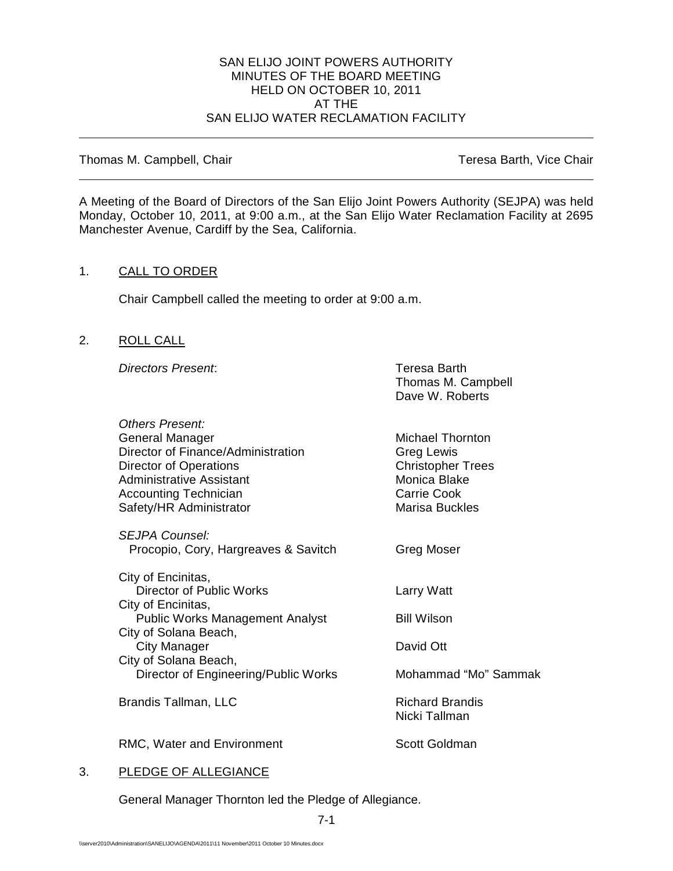#### SAN ELIJO JOINT POWERS AUTHORITY MINUTES OF THE BOARD MEETING HELD ON OCTOBER 10, 2011 AT THE SAN ELIJO WATER RECLAMATION FACILITY

Thomas M. Campbell, Chair Thomas M. Campbell, Chair

A Meeting of the Board of Directors of the San Elijo Joint Powers Authority (SEJPA) was held Monday, October 10, 2011, at 9:00 a.m., at the San Elijo Water Reclamation Facility at 2695 Manchester Avenue, Cardiff by the Sea, California.

# 1. CALL TO ORDER

Chair Campbell called the meeting to order at 9:00 a.m.

### 2. ROLL CALL

**Directors Present:** Teresa Barth

Thomas M. Campbell Dave W. Roberts

| <b>Others Present:</b><br>General Manager<br>Director of Finance/Administration<br><b>Director of Operations</b><br><b>Administrative Assistant</b><br><b>Accounting Technician</b><br>Safety/HR Administrator | <b>Michael Thornton</b><br>Greg Lewis<br><b>Christopher Trees</b><br>Monica Blake<br><b>Carrie Cook</b><br><b>Marisa Buckles</b> |
|----------------------------------------------------------------------------------------------------------------------------------------------------------------------------------------------------------------|----------------------------------------------------------------------------------------------------------------------------------|
| <i>SEJPA Counsel:</i><br>Procopio, Cory, Hargreaves & Savitch                                                                                                                                                  | Greg Moser                                                                                                                       |
| City of Encinitas,<br><b>Director of Public Works</b><br>City of Encinitas,                                                                                                                                    | Larry Watt                                                                                                                       |
| <b>Public Works Management Analyst</b><br>City of Solana Beach,                                                                                                                                                | <b>Bill Wilson</b>                                                                                                               |
| City Manager<br>City of Solana Beach,                                                                                                                                                                          | David Ott                                                                                                                        |
| Director of Engineering/Public Works                                                                                                                                                                           | Mohammad "Mo" Sammak                                                                                                             |
| Brandis Tallman, LLC                                                                                                                                                                                           | <b>Richard Brandis</b><br>Nicki Tallman                                                                                          |
| RMC, Water and Environment                                                                                                                                                                                     | Scott Goldman                                                                                                                    |

# 3. PLEDGE OF ALLEGIANCE

General Manager Thornton led the Pledge of Allegiance.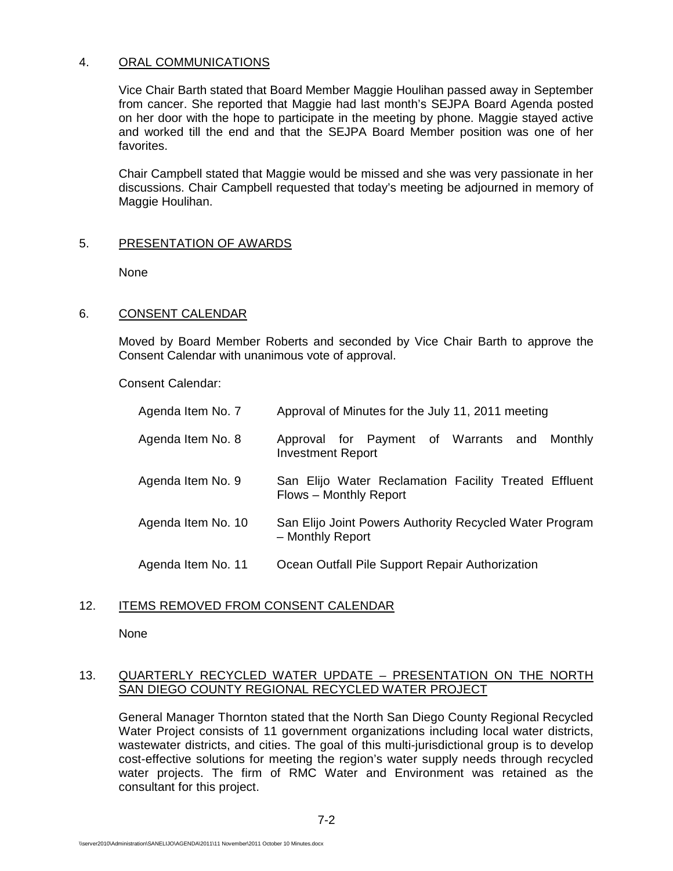### 4. ORAL COMMUNICATIONS

Vice Chair Barth stated that Board Member Maggie Houlihan passed away in September from cancer. She reported that Maggie had last month's SEJPA Board Agenda posted on her door with the hope to participate in the meeting by phone. Maggie stayed active and worked till the end and that the SEJPA Board Member position was one of her favorites.

Chair Campbell stated that Maggie would be missed and she was very passionate in her discussions. Chair Campbell requested that today's meeting be adjourned in memory of Maggie Houlihan.

### 5. PRESENTATION OF AWARDS

None

# 6. CONSENT CALENDAR

Moved by Board Member Roberts and seconded by Vice Chair Barth to approve the Consent Calendar with unanimous vote of approval.

Consent Calendar:

| Agenda Item No. 7  | Approval of Minutes for the July 11, 2011 meeting                               |
|--------------------|---------------------------------------------------------------------------------|
| Agenda Item No. 8  | Approval for Payment of Warrants and<br>Monthly<br><b>Investment Report</b>     |
| Agenda Item No. 9  | San Elijo Water Reclamation Facility Treated Effluent<br>Flows - Monthly Report |
| Agenda Item No. 10 | San Elijo Joint Powers Authority Recycled Water Program<br>- Monthly Report     |
| Agenda Item No. 11 | Ocean Outfall Pile Support Repair Authorization                                 |

#### 12. ITEMS REMOVED FROM CONSENT CALENDAR

None

### 13. QUARTERLY RECYCLED WATER UPDATE – PRESENTATION ON THE NORTH SAN DIEGO COUNTY REGIONAL RECYCLED WATER PROJECT

General Manager Thornton stated that the North San Diego County Regional Recycled Water Project consists of 11 government organizations including local water districts, wastewater districts, and cities. The goal of this multi-jurisdictional group is to develop cost-effective solutions for meeting the region's water supply needs through recycled water projects. The firm of RMC Water and Environment was retained as the consultant for this project.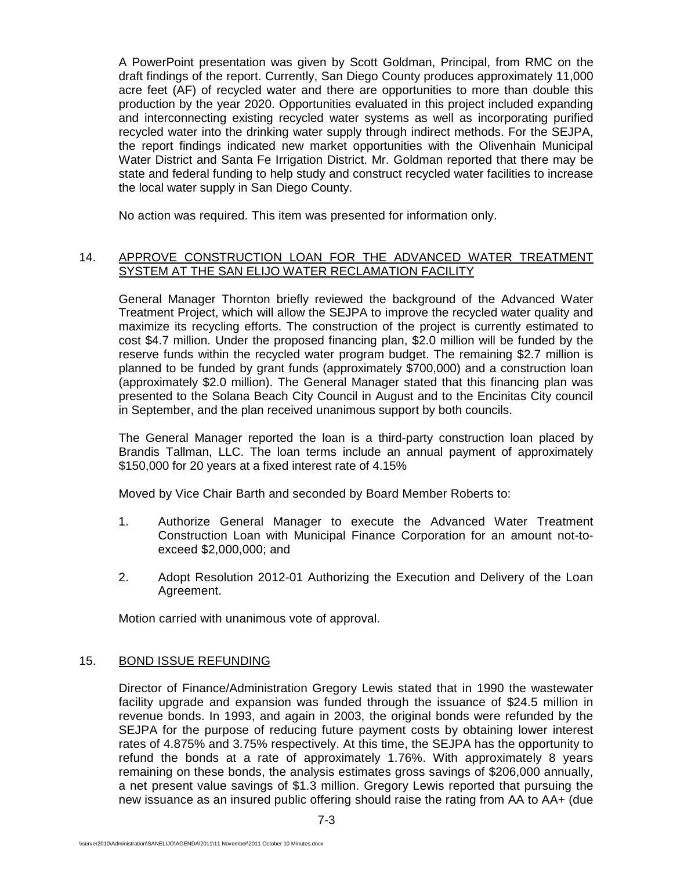A PowerPoint presentation was given by Scott Goldman, Principal, from RMC on the draft findings of the report. Currently, San Diego County produces approximately 11,000 acre feet (AF) of recycled water and there are opportunities to more than double this production by the year 2020. Opportunities evaluated in this project included expanding and interconnecting existing recycled water systems as well as incorporating purified recycled water into the drinking water supply through indirect methods. For the SEJPA, the report findings indicated new market opportunities with the Olivenhain Municipal Water District and Santa Fe Irrigation District. Mr. Goldman reported that there may be state and federal funding to help study and construct recycled water facilities to increase the local water supply in San Diego County.

No action was required. This item was presented for information only.

# 14. APPROVE CONSTRUCTION LOAN FOR THE ADVANCED WATER TREATMENT SYSTEM AT THE SAN ELIJO WATER RECLAMATION FACILITY

General Manager Thornton briefly reviewed the background of the Advanced Water Treatment Project, which will allow the SEJPA to improve the recycled water quality and maximize its recycling efforts. The construction of the project is currently estimated to cost \$4.7 million. Under the proposed financing plan, \$2.0 million will be funded by the reserve funds within the recycled water program budget. The remaining \$2.7 million is planned to be funded by grant funds (approximately \$700,000) and a construction loan (approximately \$2.0 million). The General Manager stated that this financing plan was presented to the Solana Beach City Council in August and to the Encinitas City council in September, and the plan received unanimous support by both councils.

The General Manager reported the loan is a third-party construction loan placed by Brandis Tallman, LLC. The loan terms include an annual payment of approximately \$150,000 for 20 years at a fixed interest rate of 4.15%

Moved by Vice Chair Barth and seconded by Board Member Roberts to:

- 1. Authorize General Manager to execute the Advanced Water Treatment Construction Loan with Municipal Finance Corporation for an amount not-toexceed \$2,000,000; and
- 2. Adopt Resolution 2012-01 Authorizing the Execution and Delivery of the Loan Agreement.

Motion carried with unanimous vote of approval.

# 15. BOND ISSUE REFUNDING

Director of Finance/Administration Gregory Lewis stated that in 1990 the wastewater facility upgrade and expansion was funded through the issuance of \$24.5 million in revenue bonds. In 1993, and again in 2003, the original bonds were refunded by the SEJPA for the purpose of reducing future payment costs by obtaining lower interest rates of 4.875% and 3.75% respectively. At this time, the SEJPA has the opportunity to refund the bonds at a rate of approximately 1.76%. With approximately 8 years remaining on these bonds, the analysis estimates gross savings of \$206,000 annually, a net present value savings of \$1.3 million. Gregory Lewis reported that pursuing the new issuance as an insured public offering should raise the rating from AA to AA+ (due